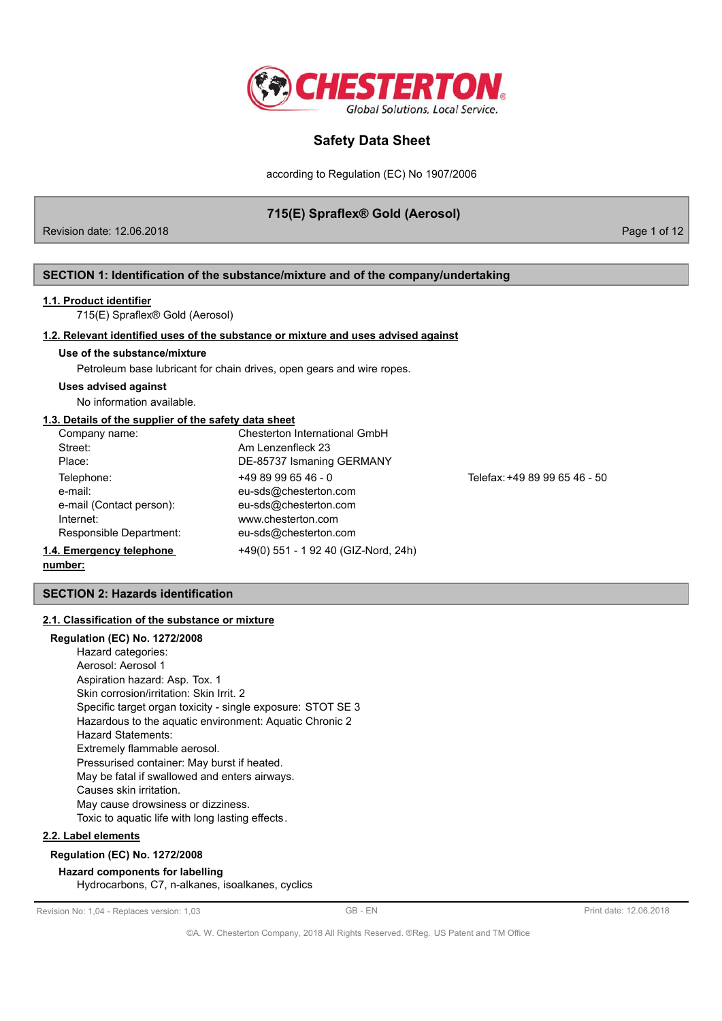

according to Regulation (EC) No 1907/2006

# 715(E) Spraflex® Gold (Aerosol)

Revision date: 12.06.2018

Page 1 of 12

## SECTION 1: Identification of the substance/mixture and of the company/undertaking

#### 1.1. Product identifier

715(E) Spraflex® Gold (Aerosol)

#### 1.2. Relevant identified uses of the substance or mixture and uses advised against

#### Use of the substance/mixture

Petroleum base lubricant for chain drives, open gears and wire ropes.

#### **Uses advised against**

No information available.

# 1.3. Details of the supplier of the safety data sheet

| Company name:            | Chesterton International GmbH        |                               |
|--------------------------|--------------------------------------|-------------------------------|
| Street:                  | Am Lenzenfleck 23                    |                               |
| Place:                   | DE-85737 Ismaning GERMANY            |                               |
| Telephone:               | $+4989996546 - 0$                    | Telefax: +49 89 99 65 46 - 50 |
| e-mail:                  | eu-sds@chesterton.com                |                               |
| e-mail (Contact person): | eu-sds@chesterton.com                |                               |
| Internet:                | www.chesterton.com                   |                               |
| Responsible Department:  | eu-sds@chesterton.com                |                               |
| I.4. Emergency telephone | +49(0) 551 - 1 92 40 (GIZ-Nord, 24h) |                               |
|                          |                                      |                               |

#### number:

**SECTION 2: Hazards identification** 

## 2.1. Classification of the substance or mixture

#### **Regulation (EC) No. 1272/2008**

Hazard categories: Aerosol: Aerosol 1 Aspiration hazard: Asp. Tox. 1 Skin corrosion/irritation: Skin Irrit. 2 Specific target organ toxicity - single exposure: STOT SE 3 Hazardous to the aquatic environment: Aquatic Chronic 2 **Hazard Statements:** Extremely flammable aerosol. Pressurised container: May burst if heated. May be fatal if swallowed and enters airways. Causes skin irritation. May cause drowsiness or dizziness. Toxic to aquatic life with long lasting effects.

#### 2.2. Label elements

## **Regulation (EC) No. 1272/2008**

#### **Hazard components for labelling** Hydrocarbons, C7, n-alkanes, isoalkanes, cyclics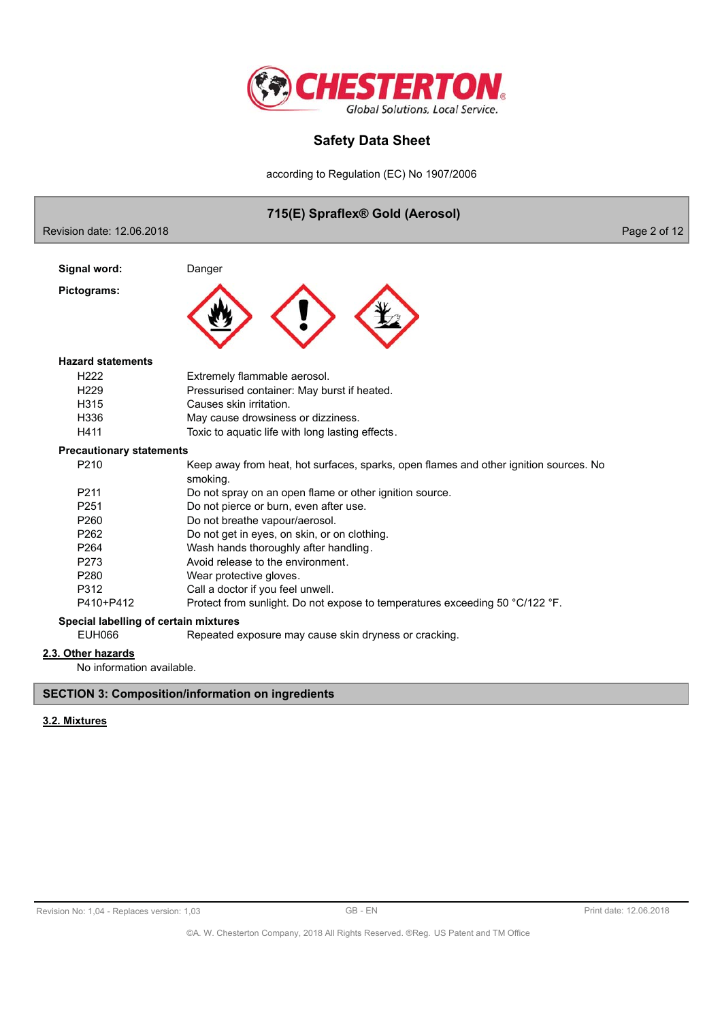

according to Regulation (EC) No 1907/2006



## **SECTION 3: Composition/information on ingredients**

## 3.2. Mixtures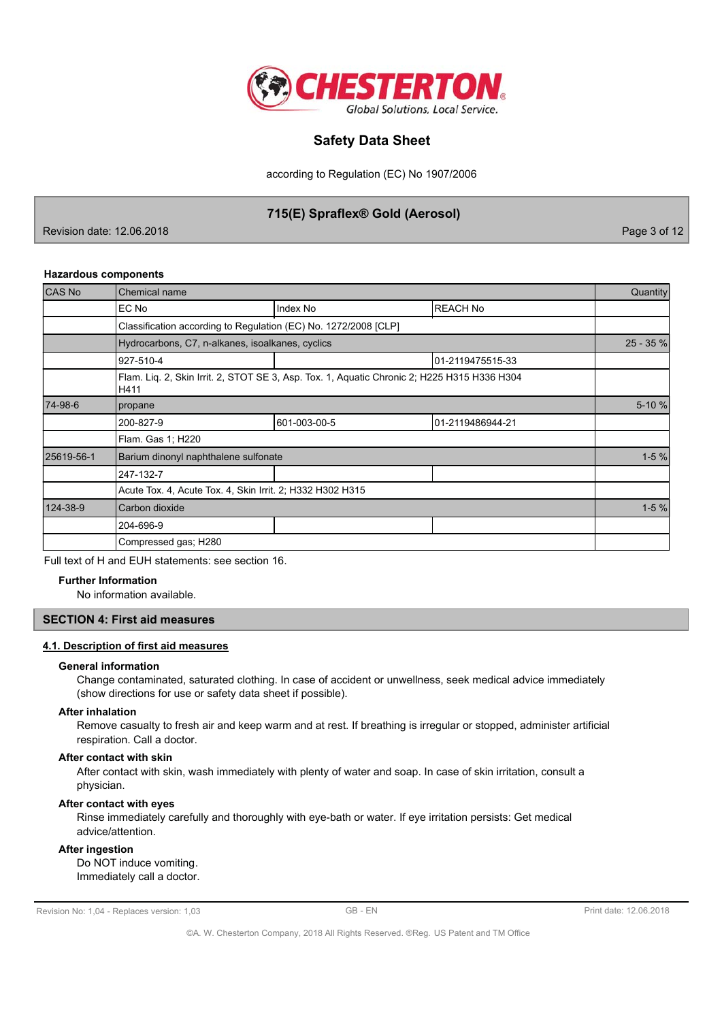

according to Regulation (EC) No 1907/2006

# 715(E) Spraflex® Gold (Aerosol)

Revision date: 12.06.2018

Page 3 of 12

#### **Hazardous components**

| CAS No     | <b>Chemical name</b>                                            |                                                                                             |                  |           |  |
|------------|-----------------------------------------------------------------|---------------------------------------------------------------------------------------------|------------------|-----------|--|
|            | EC No                                                           | Index No                                                                                    | <b>REACH No</b>  |           |  |
|            | Classification according to Regulation (EC) No. 1272/2008 [CLP] |                                                                                             |                  |           |  |
|            | Hydrocarbons, C7, n-alkanes, isoalkanes, cyclics                |                                                                                             |                  | 25 - 35 % |  |
|            | 927-510-4                                                       |                                                                                             | 01-2119475515-33 |           |  |
|            | H411                                                            | Flam. Liq. 2, Skin Irrit. 2, STOT SE 3, Asp. Tox. 1, Aquatic Chronic 2; H225 H315 H336 H304 |                  |           |  |
| 74-98-6    | propane                                                         |                                                                                             |                  | 5-10 %    |  |
|            | 200-827-9                                                       | 601-003-00-5                                                                                | 01-2119486944-21 |           |  |
|            | Flam. Gas 1; H220                                               |                                                                                             |                  |           |  |
| 25619-56-1 | Barium dinonyl naphthalene sulfonate                            |                                                                                             |                  | $1-5%$    |  |
|            | 247-132-7                                                       |                                                                                             |                  |           |  |
|            | Acute Tox. 4, Acute Tox. 4, Skin Irrit. 2; H332 H302 H315       |                                                                                             |                  |           |  |
| 124-38-9   | Carbon dioxide                                                  |                                                                                             |                  | $1-5%$    |  |
|            | 204-696-9                                                       |                                                                                             |                  |           |  |
|            | Compressed gas; H280                                            |                                                                                             |                  |           |  |

Full text of H and EUH statements: see section 16.

#### **Further Information**

No information available.

### **SECTION 4: First aid measures**

#### 4.1. Description of first aid measures

#### **General information**

Change contaminated, saturated clothing. In case of accident or unwellness, seek medical advice immediately (show directions for use or safety data sheet if possible).

## **After inhalation**

Remove casualty to fresh air and keep warm and at rest. If breathing is irregular or stopped, administer artificial respiration. Call a doctor.

#### After contact with skin

After contact with skin, wash immediately with plenty of water and soap. In case of skin irritation, consult a physician.

### After contact with eyes

Rinse immediately carefully and thoroughly with eve-bath or water. If eve irritation persists: Get medical advice/attention.

## **After ingestion**

Do NOT induce vomiting. Immediately call a doctor.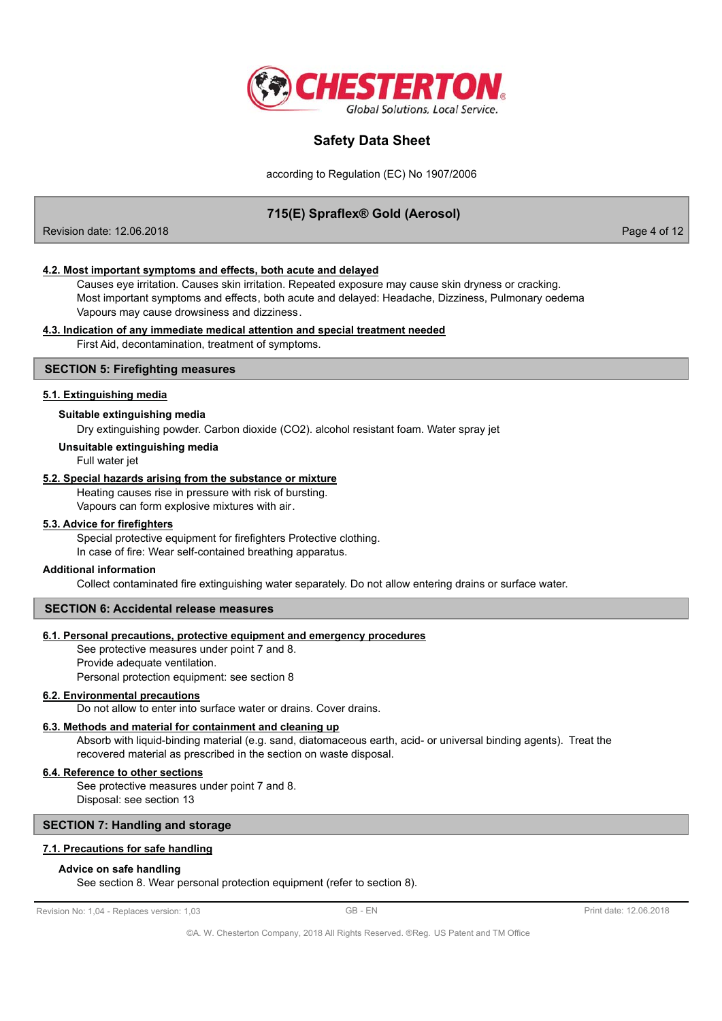

according to Regulation (EC) No 1907/2006

# 715(E) Spraflex® Gold (Aerosol)

Revision date: 12.06.2018

Page 4 of 12

### 4.2. Most important symptoms and effects, both acute and delayed

Causes eye irritation. Causes skin irritation. Repeated exposure may cause skin dryness or cracking. Most important symptoms and effects, both acute and delayed: Headache, Dizziness, Pulmonary oedema Vapours may cause drowsiness and dizziness.

#### 4.3. Indication of any immediate medical attention and special treatment needed

First Aid, decontamination, treatment of symptoms.

### **SECTION 5: Firefighting measures**

### 5.1. Extinguishing media

#### Suitable extinguishing media

Dry extinguishing powder. Carbon dioxide (CO2). alcohol resistant foam. Water spray jet

#### Unsuitable extinguishing media

Full water jet

#### 5.2. Special hazards arising from the substance or mixture

Heating causes rise in pressure with risk of bursting.

Vapours can form explosive mixtures with air.

### 5.3. Advice for firefighters

Special protective equipment for firefighters Protective clothing. In case of fire: Wear self-contained breathing apparatus.

#### Additional information

Collect contaminated fire extinguishing water separately. Do not allow entering drains or surface water.

#### **SECTION 6: Accidental release measures**

## 6.1. Personal precautions, protective equipment and emergency procedures

See protective measures under point 7 and 8. Provide adequate ventilation.

Personal protection equipment: see section 8

### **6.2. Environmental precautions**

Do not allow to enter into surface water or drains. Cover drains.

### 6.3. Methods and material for containment and cleaning up

Absorb with liquid-binding material (e.g. sand, diatomaceous earth, acid- or universal binding agents). Treat the recovered material as prescribed in the section on waste disposal.

#### 6.4. Reference to other sections

See protective measures under point 7 and 8. Disposal: see section 13

## **SECTION 7: Handling and storage**

# 7.1. Precautions for safe handling

#### Advice on safe handling

See section 8. Wear personal protection equipment (refer to section 8).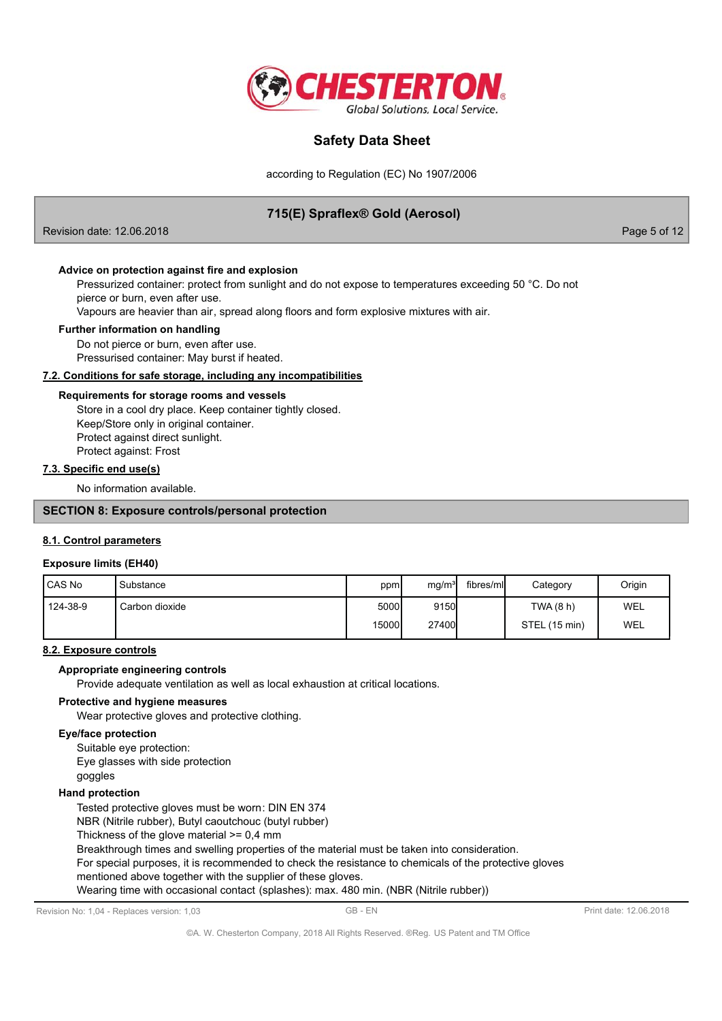

according to Regulation (EC) No 1907/2006

# 715(E) Spraflex® Gold (Aerosol)

Revision date: 12.06.2018

Page 5 of 12

### Advice on protection against fire and explosion

Pressurized container: protect from sunlight and do not expose to temperatures exceeding 50 °C. Do not pierce or burn, even after use.

Vapours are heavier than air, spread along floors and form explosive mixtures with air.

#### Further information on handling

Do not pierce or burn, even after use. Pressurised container: May burst if heated.

#### 7.2. Conditions for safe storage, including any incompatibilities

#### Requirements for storage rooms and vessels

Store in a cool dry place. Keep container tightly closed. Keep/Store only in original container. Protect against direct sunlight. Protect against: Frost

### 7.3. Specific end use(s)

No information available

## **SECTION 8: Exposure controls/personal protection**

#### 8.1. Control parameters

#### **Exposure limits (EH40)**

| <b>I</b> CAS No | ' Substance    | ppm           | mg/m <sup>3</sup> | fibres/mll | Category      | Origin |
|-----------------|----------------|---------------|-------------------|------------|---------------|--------|
| 124-38-9        | Carbon dioxide | 5000 <b>1</b> | 9150              |            | TWA(8 h)      | WEL    |
|                 |                | 15000         | <b>27400</b>      |            | STEL (15 min) | WEL    |

### 8.2. Exposure controls

### Appropriate engineering controls

Provide adequate ventilation as well as local exhaustion at critical locations.

#### Protective and hygiene measures

Wear protective gloves and protective clothing.

#### **Eye/face protection**

Suitable eye protection: Eye glasses with side protection goggles

#### **Hand protection**

Tested protective gloves must be worn: DIN EN 374

NBR (Nitrile rubber), Butyl caoutchouc (butyl rubber)

Thickness of the glove material  $>= 0,4$  mm

Breakthrough times and swelling properties of the material must be taken into consideration.

For special purposes, it is recommended to check the resistance to chemicals of the protective gloves

mentioned above together with the supplier of these gloves.

Wearing time with occasional contact (splashes): max. 480 min. (NBR (Nitrile rubber))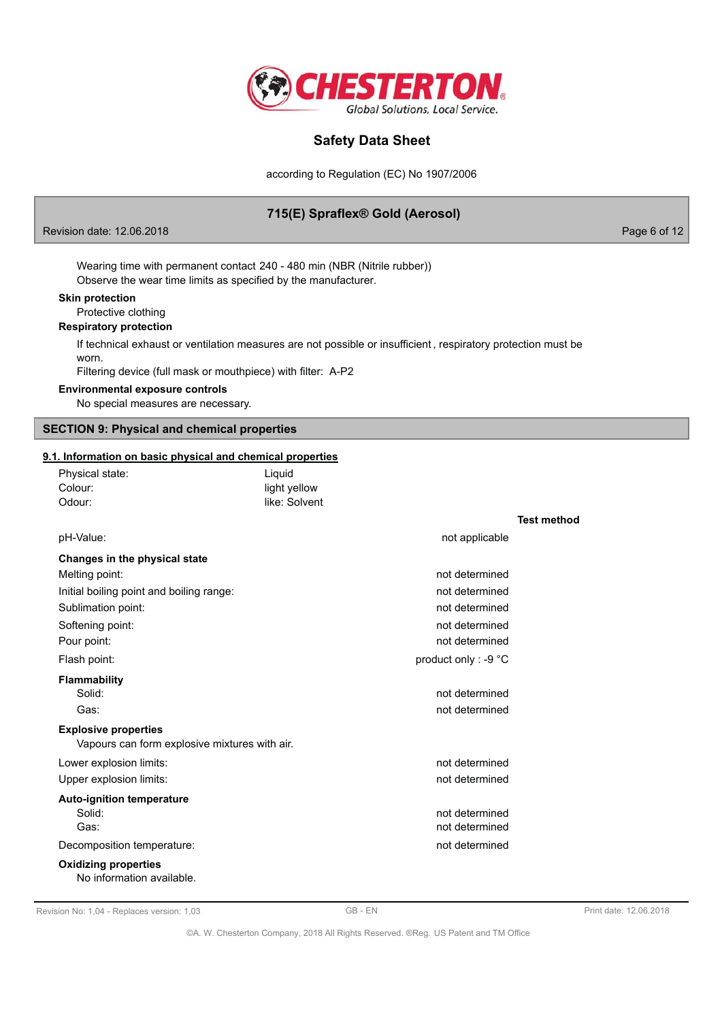

according to Regulation (EC) No 1907/2006

# 715(E) Spraflex® Gold (Aerosol)

Revision date: 12.06.2018

Page 6 of 12

Wearing time with permanent contact 240 - 480 min (NBR (Nitrile rubber)) Observe the wear time limits as specified by the manufacturer.

#### **Skin protection**

Protective clothing

### **Respiratory protection**

If technical exhaust or ventilation measures are not possible or insufficient, respiratory protection must be worn.

Filtering device (full mask or mouthpiece) with filter: A-P2

### **Environmental exposure controls**

No special measures are necessary.

# **SECTION 9: Physical and chemical properties**

## 9.1. Information on basic physical and chemical properties

| Physical state:                                                              | Liquid        |                      |                    |
|------------------------------------------------------------------------------|---------------|----------------------|--------------------|
| Colour:                                                                      | light yellow  |                      |                    |
| Odour:                                                                       | like: Solvent |                      |                    |
|                                                                              |               |                      | <b>Test method</b> |
| pH-Value:                                                                    |               | not applicable       |                    |
| Changes in the physical state                                                |               |                      |                    |
| Melting point:                                                               |               | not determined       |                    |
| Initial boiling point and boiling range:                                     |               | not determined       |                    |
| Sublimation point:                                                           |               | not determined       |                    |
| Softening point:                                                             |               | not determined       |                    |
| Pour point:                                                                  |               | not determined       |                    |
| Flash point:                                                                 |               | product only : -9 °C |                    |
| <b>Flammability</b>                                                          |               |                      |                    |
| Solid:                                                                       |               | not determined       |                    |
| Gas:                                                                         |               | not determined       |                    |
| <b>Explosive properties</b><br>Vapours can form explosive mixtures with air. |               |                      |                    |
| Lower explosion limits:                                                      |               | not determined       |                    |
| Upper explosion limits:                                                      |               | not determined       |                    |
| <b>Auto-ignition temperature</b>                                             |               |                      |                    |
| Solid:                                                                       |               | not determined       |                    |
| Gas:                                                                         |               | not determined       |                    |
| Decomposition temperature:                                                   |               | not determined       |                    |
| <b>Oxidizing properties</b><br>No information available.                     |               |                      |                    |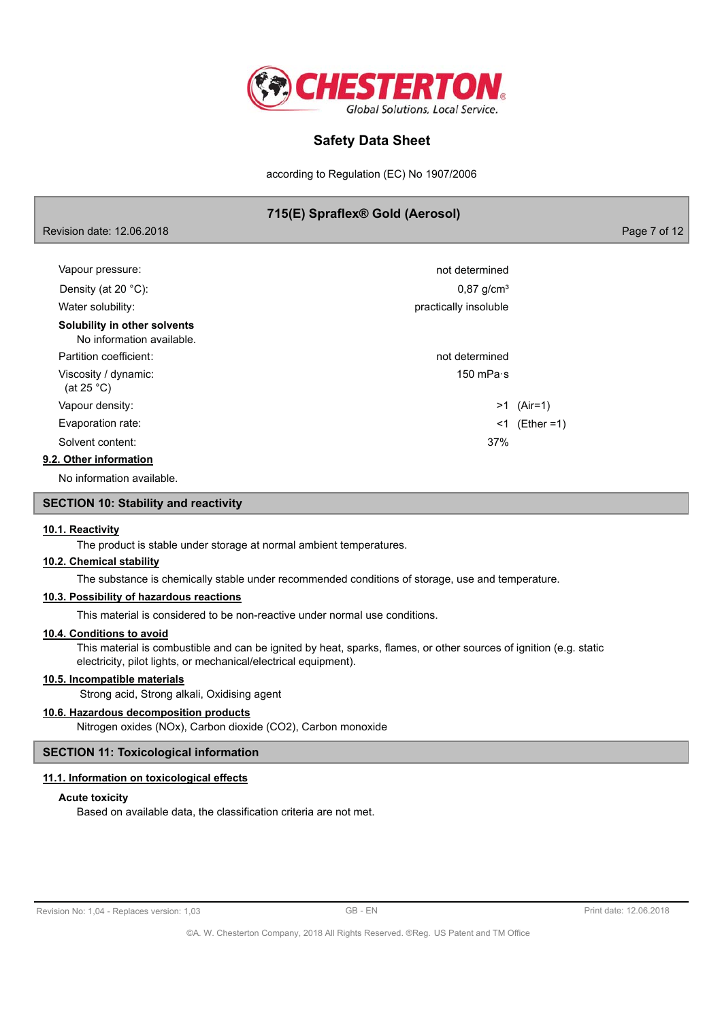

according to Regulation (EC) No 1907/2006

# 715(E) Spraflex® Gold (Aerosol)

Page 7 of 12

| Vapour pressure:                                          | not determined           |                 |
|-----------------------------------------------------------|--------------------------|-----------------|
| Density (at 20 $°C$ ):                                    | $0,87$ g/cm <sup>3</sup> |                 |
| Water solubility:                                         | practically insoluble    |                 |
| Solubility in other solvents<br>No information available. |                          |                 |
| Partition coefficient:                                    | not determined           |                 |
| Viscosity / dynamic:<br>(at 25 $^{\circ}$ C)              | 150 mPa $\cdot$ s        |                 |
| Vapour density:                                           |                          | $>1$ (Air=1)    |
| Evaporation rate:                                         |                          | $<1$ (Ether =1) |
| Solvent content:                                          | 37%                      |                 |
| 9.2. Other information                                    |                          |                 |
|                                                           |                          |                 |

No information available.

Revision date: 12.06.2018

### **SECTION 10: Stability and reactivity**

### 10.1. Reactivity

The product is stable under storage at normal ambient temperatures.

## 10.2. Chemical stability

The substance is chemically stable under recommended conditions of storage, use and temperature.

## 10.3. Possibility of hazardous reactions

This material is considered to be non-reactive under normal use conditions.

### 10.4. Conditions to avoid

This material is combustible and can be ignited by heat, sparks, flames, or other sources of ignition (e.g. static electricity, pilot lights, or mechanical/electrical equipment).

## 10.5. Incompatible materials

Strong acid, Strong alkali, Oxidising agent

# 10.6. Hazardous decomposition products

Nitrogen oxides (NOx), Carbon dioxide (CO2), Carbon monoxide

### **SECTION 11: Toxicological information**

#### 11.1. Information on toxicological effects

#### **Acute toxicity**

Based on available data, the classification criteria are not met.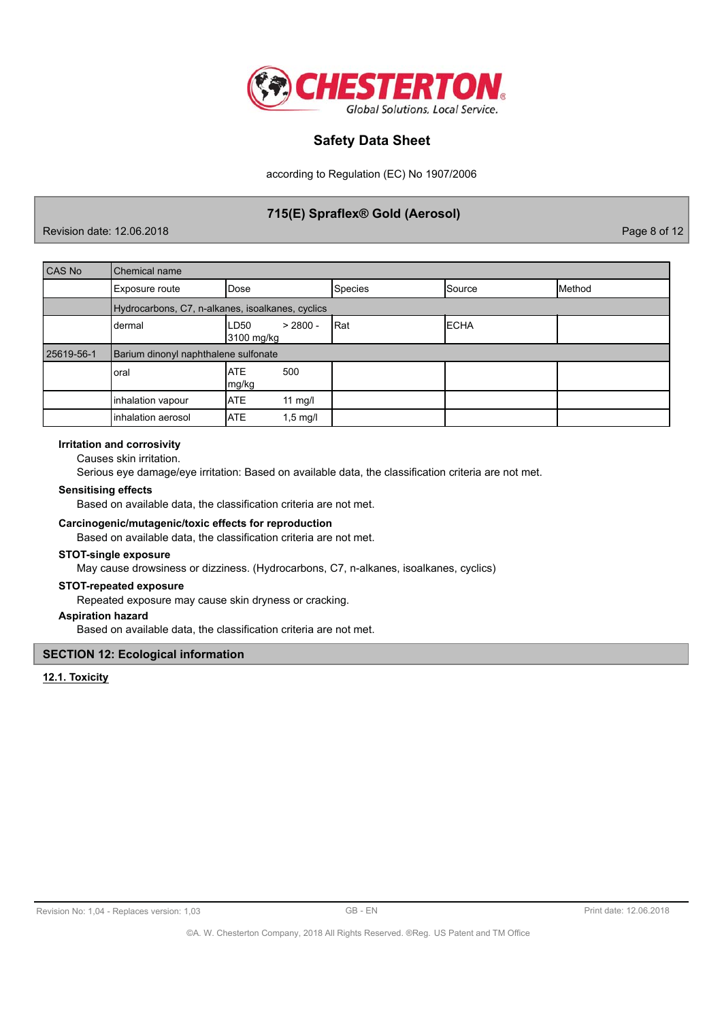

according to Regulation (EC) No 1907/2006

# 715(E) Spraflex® Gold (Aerosol)

Revision date: 12.06.2018

Page 8 of 12

| CAS No     | Chemical name                                    |                                  |                |               |        |
|------------|--------------------------------------------------|----------------------------------|----------------|---------------|--------|
|            | Exposure route                                   | Dose                             | <b>Species</b> | <b>Source</b> | Method |
|            | Hydrocarbons, C7, n-alkanes, isoalkanes, cyclics |                                  |                |               |        |
|            | dermal                                           | $> 2800 -$<br>LD50<br>3100 mg/kg | lRat           | <b>IECHA</b>  |        |
| 25619-56-1 | Barium dinonyl naphthalene sulfonate             |                                  |                |               |        |
|            | loral                                            | 500<br><b>ATE</b><br>mg/kg       |                |               |        |
|            | inhalation vapour                                | <b>ATE</b><br>11 $mg/l$          |                |               |        |
|            | inhalation aerosol                               | <b>ATE</b><br>$1,5 \text{ mg/l}$ |                |               |        |

#### **Irritation and corrosivity**

Causes skin irritation.

Serious eye damage/eye irritation: Based on available data, the classification criteria are not met.

#### **Sensitising effects**

Based on available data, the classification criteria are not met.

### Carcinogenic/mutagenic/toxic effects for reproduction

Based on available data, the classification criteria are not met.

#### **STOT-single exposure**

May cause drowsiness or dizziness. (Hydrocarbons, C7, n-alkanes, isoalkanes, cyclics)

### **STOT-repeated exposure**

Repeated exposure may cause skin dryness or cracking.

## **Aspiration hazard**

Based on available data, the classification criteria are not met.

### **SECTION 12: Ecological information**

12.1. Toxicity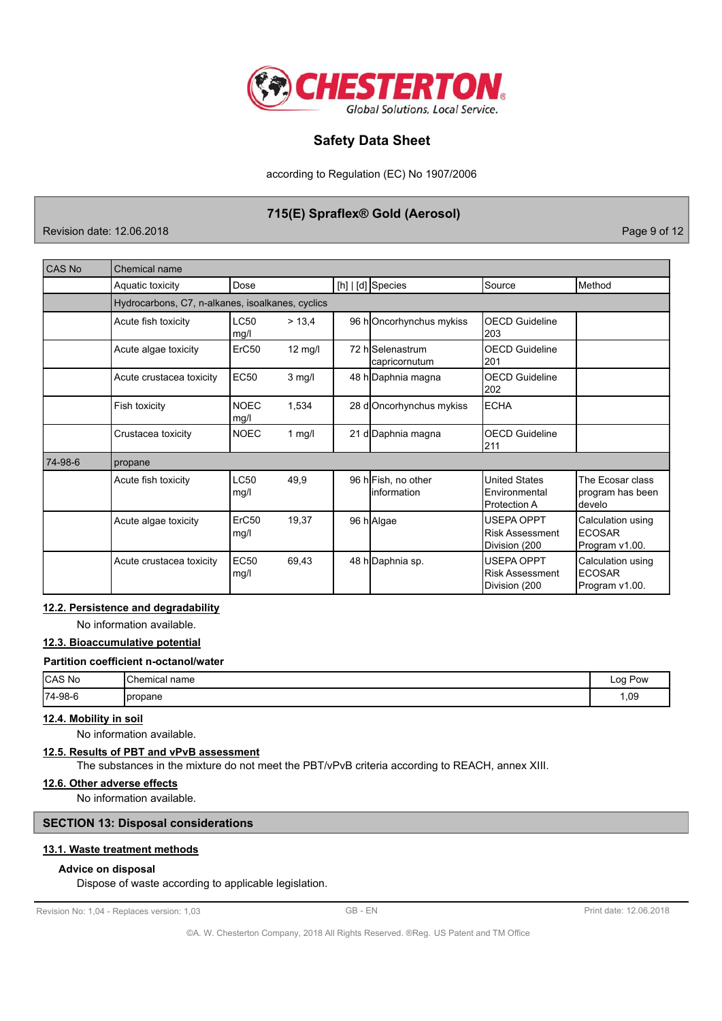

according to Regulation (EC) No 1907/2006

# 715(E) Spraflex® Gold (Aerosol)

Revision date: 12.06.2018

Page 9 of 12

| CAS No  | Chemical name                                    |                           |          |  |                                    |                                                       |                                                      |
|---------|--------------------------------------------------|---------------------------|----------|--|------------------------------------|-------------------------------------------------------|------------------------------------------------------|
|         | Aquatic toxicity                                 | Dose                      |          |  | [h]   [d] Species                  | Source                                                | <b>Method</b>                                        |
|         | Hydrocarbons, C7, n-alkanes, isoalkanes, cyclics |                           |          |  |                                    |                                                       |                                                      |
|         | Acute fish toxicity                              | LC50<br>mg/l              | > 13,4   |  | 96 hOncorhynchus mykiss            | <b>OECD Guideline</b><br>203                          |                                                      |
|         | Acute algae toxicity                             | ErC <sub>50</sub>         | 12 mg/l  |  | 72 hlSelenastrum<br>capricornutum  | OECD Guideline<br>201                                 |                                                      |
|         | Acute crustacea toxicity                         | <b>EC50</b>               | $3$ mg/l |  | 48 h Daphnia magna                 | <b>OECD Guideline</b><br>202                          |                                                      |
|         | Fish toxicity                                    | <b>NOEC</b><br>mg/l       | 1,534    |  | 28 d Oncorhynchus mykiss           | <b>IECHA</b>                                          |                                                      |
|         | Crustacea toxicity                               | <b>NOEC</b>               | 1 $mg/l$ |  | 21 d Daphnia magna                 | OECD Guideline<br>211                                 |                                                      |
| 74-98-6 | propane                                          |                           |          |  |                                    |                                                       |                                                      |
|         | Acute fish toxicity                              | LC50<br>mg/l              | 49,9     |  | 96 hFish, no other<br>linformation | <b>United States</b><br>Environmental<br>Protection A | The Ecosar class<br>program has been<br>develo       |
|         | Acute algae toxicity                             | ErC <sub>50</sub><br>mg/l | 19,37    |  | 96 h Algae                         | USEPA OPPT<br><b>Risk Assessment</b><br>Division (200 | Calculation using<br><b>ECOSAR</b><br>Program v1.00. |
|         | Acute crustacea toxicity                         | <b>EC50</b><br>mg/l       | 69,43    |  | 48 h Daphnia sp.                   | USEPA OPPT<br><b>Risk Assessment</b><br>Division (200 | Calculation using<br><b>ECOSAR</b><br>Program v1.00. |

### 12.2. Persistence and degradability

No information available.

## 12.3. Bioaccumulative potential

## Partition coefficient n-octanol/water

| CAS No     | Chemical II.<br>name | Pow<br>_oo<br><u>لى</u> |
|------------|----------------------|-------------------------|
| $ 74-98-6$ | Ipropane             | 1,09                    |

# 12.4. Mobility in soil

No information available.

# 12.5. Results of PBT and vPvB assessment

The substances in the mixture do not meet the PBT/vPvB criteria according to REACH, annex XIII.

### 12.6. Other adverse effects

No information available.

## **SECTION 13: Disposal considerations**

### 13.1. Waste treatment methods

## Advice on disposal

Dispose of waste according to applicable legislation.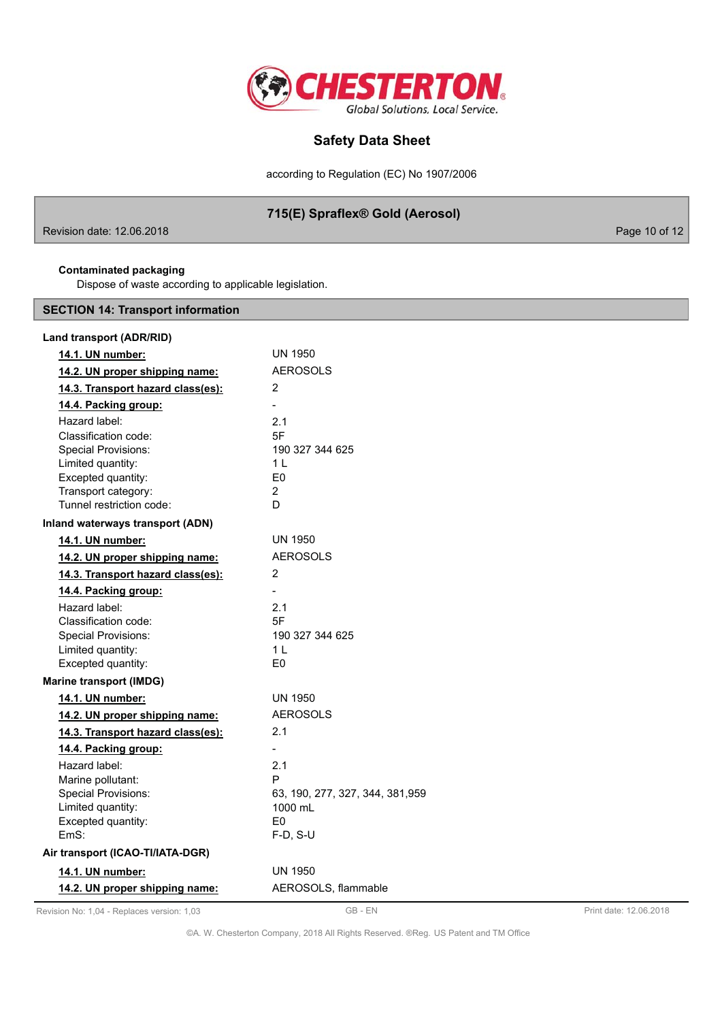

according to Regulation (EC) No 1907/2006

# 715(E) Spraflex® Gold (Aerosol)

Revision date: 12.06.2018

Page 10 of 12

## **Contaminated packaging**

Dispose of waste according to applicable legislation.

# **SECTION 14: Transport information**

| Land transport (ADR/RID)                           |                                  |
|----------------------------------------------------|----------------------------------|
| 14.1. UN number:                                   | UN 1950                          |
| 14.2. UN proper shipping name:                     | <b>AEROSOLS</b>                  |
| 14.3. Transport hazard class(es):                  | 2                                |
| 14.4. Packing group:                               |                                  |
| Hazard label:                                      | 2.1                              |
| Classification code:                               | 5F                               |
| <b>Special Provisions:</b>                         | 190 327 344 625                  |
| Limited quantity:                                  | $1 \mid$                         |
| Excepted quantity:                                 | E <sub>0</sub><br>$\overline{2}$ |
| Transport category:<br>Tunnel restriction code:    | D                                |
|                                                    |                                  |
| Inland waterways transport (ADN)                   | <b>UN 1950</b>                   |
| 14.1. UN number:                                   | <b>AEROSOLS</b>                  |
| 14.2. UN proper shipping name:                     |                                  |
| 14.3. Transport hazard class(es):                  | 2                                |
| 14.4. Packing group:                               |                                  |
| Hazard label:                                      | 2.1                              |
| Classification code:<br><b>Special Provisions:</b> | 5F<br>190 327 344 625            |
| Limited quantity:                                  | 1 L                              |
| Excepted quantity:                                 | E0                               |
| <b>Marine transport (IMDG)</b>                     |                                  |
| 14.1. UN number:                                   | <b>UN 1950</b>                   |
| 14.2. UN proper shipping name:                     | <b>AEROSOLS</b>                  |
| 14.3. Transport hazard class(es):                  | 2.1                              |
| 14.4. Packing group:                               |                                  |
| Hazard label:                                      | 2.1                              |
| Marine pollutant:                                  | P                                |
| <b>Special Provisions:</b>                         | 63, 190, 277, 327, 344, 381, 959 |
| Limited quantity:                                  | 1000 mL                          |
| Excepted quantity:                                 | F0                               |
| EmS:                                               | $F-D, S-U$                       |
| Air transport (ICAO-TI/IATA-DGR)                   |                                  |
| 14.1. UN number:                                   | <b>UN 1950</b>                   |
| 14.2. UN proper shipping name:                     | AEROSOLS, flammable              |
|                                                    |                                  |

Revision No: 1,04 - Replaces version: 1,03

GB-EN

©A. W. Chesterton Company, 2018 All Rights Reserved. ®Reg. US Patent and TM Office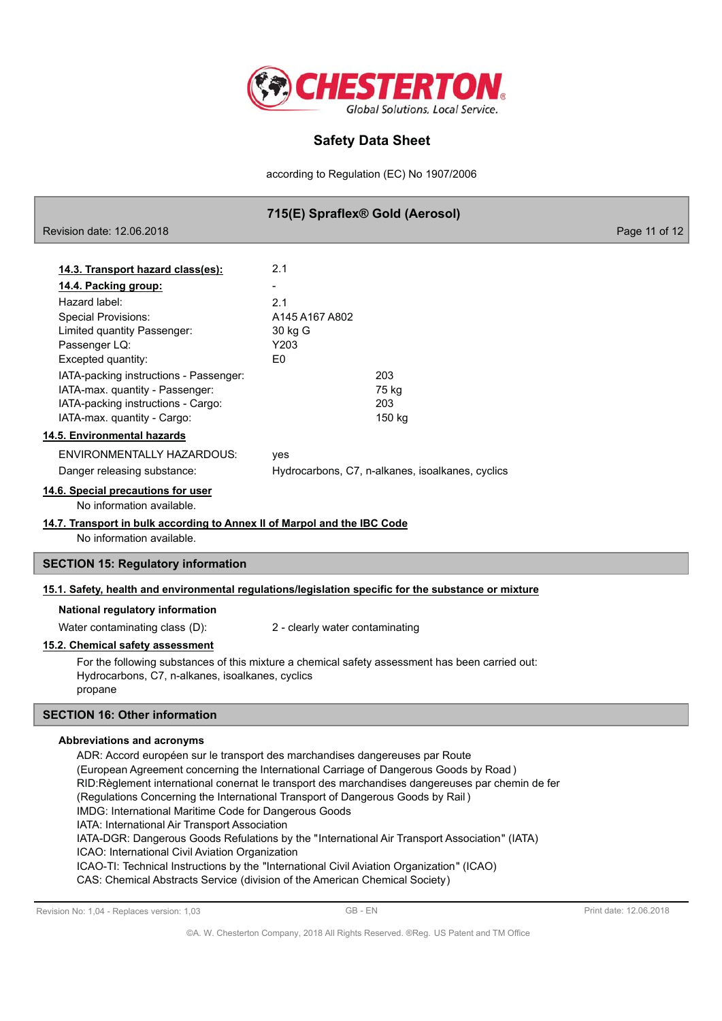

according to Regulation (EC) No 1907/2006

|                                                                                                                                                                | 715(E) Spraflex® Gold (Aerosol) |                                                  |               |
|----------------------------------------------------------------------------------------------------------------------------------------------------------------|---------------------------------|--------------------------------------------------|---------------|
| Revision date: 12.06.2018                                                                                                                                      |                                 |                                                  | Page 11 of 12 |
|                                                                                                                                                                |                                 |                                                  |               |
| 14.3. Transport hazard class(es):                                                                                                                              | 2.1                             |                                                  |               |
| <u>14.4. Packing group:</u>                                                                                                                                    |                                 |                                                  |               |
| Hazard label:                                                                                                                                                  | 2.1                             |                                                  |               |
| <b>Special Provisions:</b>                                                                                                                                     | A145 A167 A802                  |                                                  |               |
| Limited quantity Passenger:                                                                                                                                    | 30 kg G                         |                                                  |               |
| Passenger LQ:                                                                                                                                                  | Y203                            |                                                  |               |
| Excepted quantity:                                                                                                                                             | E0                              |                                                  |               |
| IATA-packing instructions - Passenger:                                                                                                                         | 203                             |                                                  |               |
| IATA-max. quantity - Passenger:<br>IATA-packing instructions - Cargo:                                                                                          |                                 | 75 kg                                            |               |
| IATA-max. quantity - Cargo:                                                                                                                                    | 203                             | 150 kg                                           |               |
| 14.5. Environmental hazards                                                                                                                                    |                                 |                                                  |               |
| ENVIRONMENTALLY HAZARDOUS:                                                                                                                                     | yes                             |                                                  |               |
| Danger releasing substance:                                                                                                                                    |                                 | Hydrocarbons, C7, n-alkanes, isoalkanes, cyclics |               |
| 14.6. Special precautions for user                                                                                                                             |                                 |                                                  |               |
| No information available.                                                                                                                                      |                                 |                                                  |               |
| 14.7. Transport in bulk according to Annex II of Marpol and the IBC Code                                                                                       |                                 |                                                  |               |
| No information available.                                                                                                                                      |                                 |                                                  |               |
| <b>SECTION 15: Regulatory information</b>                                                                                                                      |                                 |                                                  |               |
| 15.1. Safety, health and environmental regulations/legislation specific for the substance or mixture                                                           |                                 |                                                  |               |
| National regulatory information                                                                                                                                |                                 |                                                  |               |
| Water contaminating class (D):                                                                                                                                 | 2 - clearly water contaminating |                                                  |               |
| 15.2. Chemical safety assessment                                                                                                                               |                                 |                                                  |               |
| For the following substances of this mixture a chemical safety assessment has been carried out:<br>Hydrocarbons, C7, n-alkanes, isoalkanes, cyclics<br>propane |                                 |                                                  |               |
| <b>SECTION 16: Other information</b>                                                                                                                           |                                 |                                                  |               |
| <b>Abbreviations and acronyms</b>                                                                                                                              |                                 |                                                  |               |
| ADR: Accord européen sur le transport des marchandises dangereuses par Route                                                                                   |                                 |                                                  |               |
| (European Agreement concerning the International Carriage of Dangerous Goods by Road)                                                                          |                                 |                                                  |               |
| RID:Règlement international conernat le transport des marchandises dangereuses par chemin de fer                                                               |                                 |                                                  |               |
| (Regulations Concerning the International Transport of Dangerous Goods by Rail)                                                                                |                                 |                                                  |               |
| IMDG: International Maritime Code for Dangerous Goods                                                                                                          |                                 |                                                  |               |
| IATA: International Air Transport Association                                                                                                                  |                                 |                                                  |               |

IATA-DGR: Dangerous Goods Refulations by the "International Air Transport Association" (IATA)

ICAO: International Civil Aviation Organization

ICAO-TI: Technical Instructions by the "International Civil Aviation Organization" (ICAO)

CAS: Chemical Abstracts Service (division of the American Chemical Society)